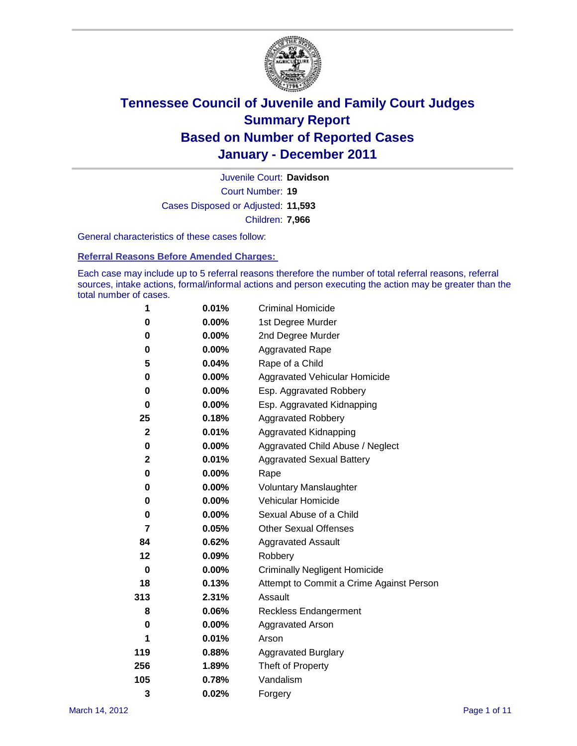

Court Number: **19** Juvenile Court: **Davidson** Cases Disposed or Adjusted: **11,593** Children: **7,966**

General characteristics of these cases follow:

**Referral Reasons Before Amended Charges:** 

Each case may include up to 5 referral reasons therefore the number of total referral reasons, referral sources, intake actions, formal/informal actions and person executing the action may be greater than the total number of cases.

| 1              | 0.01%    | <b>Criminal Homicide</b>                 |
|----------------|----------|------------------------------------------|
| 0              | 0.00%    | 1st Degree Murder                        |
| 0              | $0.00\%$ | 2nd Degree Murder                        |
| 0              | $0.00\%$ | <b>Aggravated Rape</b>                   |
| 5              | 0.04%    | Rape of a Child                          |
| 0              | $0.00\%$ | Aggravated Vehicular Homicide            |
| 0              | $0.00\%$ | Esp. Aggravated Robbery                  |
| 0              | 0.00%    | Esp. Aggravated Kidnapping               |
| 25             | 0.18%    | <b>Aggravated Robbery</b>                |
| $\mathbf 2$    | 0.01%    | Aggravated Kidnapping                    |
| 0              | 0.00%    | Aggravated Child Abuse / Neglect         |
| $\overline{2}$ | 0.01%    | <b>Aggravated Sexual Battery</b>         |
| 0              | 0.00%    | Rape                                     |
| 0              | $0.00\%$ | <b>Voluntary Manslaughter</b>            |
| 0              | 0.00%    | Vehicular Homicide                       |
| 0              | $0.00\%$ | Sexual Abuse of a Child                  |
| 7              | 0.05%    | <b>Other Sexual Offenses</b>             |
| 84             | 0.62%    | <b>Aggravated Assault</b>                |
| 12             | 0.09%    | Robbery                                  |
| 0              | $0.00\%$ | <b>Criminally Negligent Homicide</b>     |
| 18             | 0.13%    | Attempt to Commit a Crime Against Person |
| 313            | 2.31%    | Assault                                  |
| 8              | 0.06%    | <b>Reckless Endangerment</b>             |
| 0              | $0.00\%$ | <b>Aggravated Arson</b>                  |
| 1              | 0.01%    | Arson                                    |
| 119            | 0.88%    | <b>Aggravated Burglary</b>               |
| 256            | 1.89%    | Theft of Property                        |
| 105            | 0.78%    | Vandalism                                |
| 3              | 0.02%    | Forgery                                  |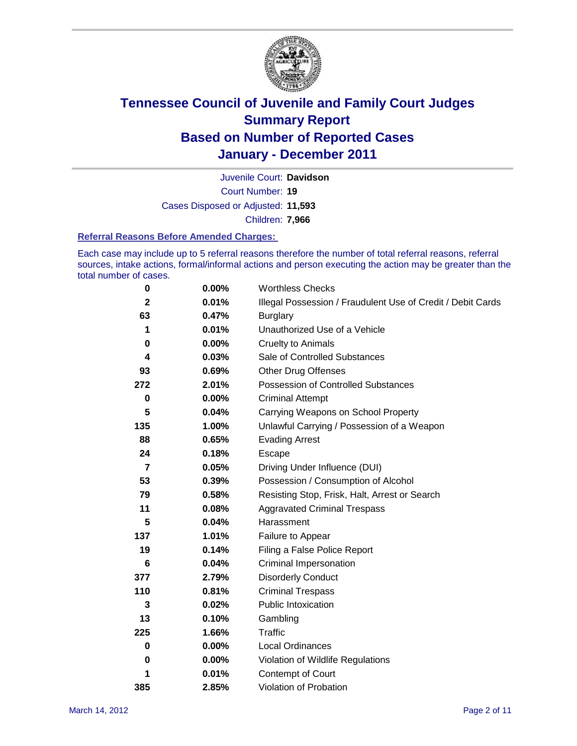

Court Number: **19** Juvenile Court: **Davidson** Cases Disposed or Adjusted: **11,593** Children: **7,966**

#### **Referral Reasons Before Amended Charges:**

Each case may include up to 5 referral reasons therefore the number of total referral reasons, referral sources, intake actions, formal/informal actions and person executing the action may be greater than the total number of cases.

| $\pmb{0}$   | 0.00%    | <b>Worthless Checks</b>                                     |
|-------------|----------|-------------------------------------------------------------|
| $\mathbf 2$ | 0.01%    | Illegal Possession / Fraudulent Use of Credit / Debit Cards |
| 63          | 0.47%    | <b>Burglary</b>                                             |
| 1           | 0.01%    | Unauthorized Use of a Vehicle                               |
| 0           | 0.00%    | <b>Cruelty to Animals</b>                                   |
| 4           | 0.03%    | Sale of Controlled Substances                               |
| 93          | 0.69%    | <b>Other Drug Offenses</b>                                  |
| 272         | 2.01%    | Possession of Controlled Substances                         |
| 0           | $0.00\%$ | <b>Criminal Attempt</b>                                     |
| 5           | 0.04%    | Carrying Weapons on School Property                         |
| 135         | 1.00%    | Unlawful Carrying / Possession of a Weapon                  |
| 88          | 0.65%    | <b>Evading Arrest</b>                                       |
| 24          | 0.18%    | Escape                                                      |
| 7           | 0.05%    | Driving Under Influence (DUI)                               |
| 53          | 0.39%    | Possession / Consumption of Alcohol                         |
| 79          | 0.58%    | Resisting Stop, Frisk, Halt, Arrest or Search               |
| 11          | 0.08%    | <b>Aggravated Criminal Trespass</b>                         |
| 5           | 0.04%    | Harassment                                                  |
| 137         | 1.01%    | Failure to Appear                                           |
| 19          | 0.14%    | Filing a False Police Report                                |
| 6           | 0.04%    | Criminal Impersonation                                      |
| 377         | 2.79%    | <b>Disorderly Conduct</b>                                   |
| 110         | 0.81%    | <b>Criminal Trespass</b>                                    |
| 3           | 0.02%    | <b>Public Intoxication</b>                                  |
| 13          | 0.10%    | Gambling                                                    |
| 225         | 1.66%    | Traffic                                                     |
| 0           | 0.00%    | <b>Local Ordinances</b>                                     |
| 0           | 0.00%    | Violation of Wildlife Regulations                           |
| 1           | 0.01%    | Contempt of Court                                           |
| 385         | 2.85%    | Violation of Probation                                      |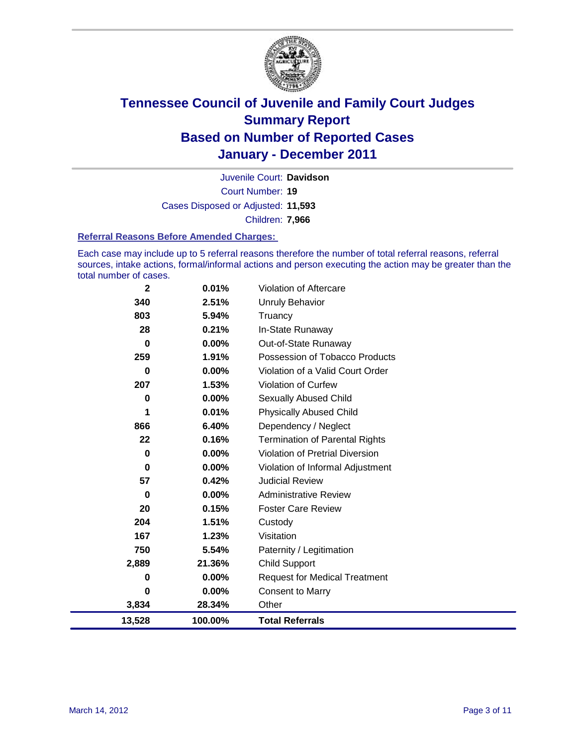

Court Number: **19** Juvenile Court: **Davidson** Cases Disposed or Adjusted: **11,593** Children: **7,966**

#### **Referral Reasons Before Amended Charges:**

Each case may include up to 5 referral reasons therefore the number of total referral reasons, referral sources, intake actions, formal/informal actions and person executing the action may be greater than the total number of cases.

| $\mathbf{2}$ | 0.01%    | Violation of Aftercare                 |
|--------------|----------|----------------------------------------|
| 340          | 2.51%    | <b>Unruly Behavior</b>                 |
| 803          | 5.94%    | Truancy                                |
| 28           | 0.21%    | In-State Runaway                       |
| 0            | $0.00\%$ | Out-of-State Runaway                   |
| 259          | 1.91%    | Possession of Tobacco Products         |
| 0            | $0.00\%$ | Violation of a Valid Court Order       |
| 207          | 1.53%    | <b>Violation of Curfew</b>             |
| 0            | 0.00%    | Sexually Abused Child                  |
| 1            | 0.01%    | <b>Physically Abused Child</b>         |
| 866          | 6.40%    | Dependency / Neglect                   |
| 22           | 0.16%    | <b>Termination of Parental Rights</b>  |
| 0            | 0.00%    | <b>Violation of Pretrial Diversion</b> |
| 0            | $0.00\%$ | Violation of Informal Adjustment       |
| 57           | 0.42%    | <b>Judicial Review</b>                 |
| 0            | $0.00\%$ | <b>Administrative Review</b>           |
| 20           | 0.15%    | <b>Foster Care Review</b>              |
| 204          | 1.51%    | Custody                                |
| 167          | 1.23%    | Visitation                             |
| 750          | 5.54%    | Paternity / Legitimation               |
| 2,889        | 21.36%   | <b>Child Support</b>                   |
| 0            | 0.00%    | <b>Request for Medical Treatment</b>   |
| $\bf{0}$     | $0.00\%$ | <b>Consent to Marry</b>                |
| 3,834        | 28.34%   | Other                                  |
| 13,528       | 100.00%  | <b>Total Referrals</b>                 |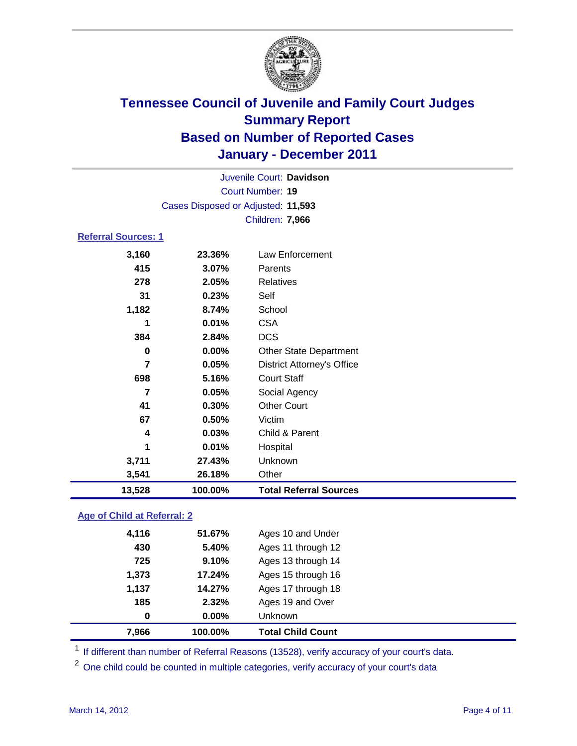

| Juvenile Court: Davidson   |                                    |                                   |  |  |
|----------------------------|------------------------------------|-----------------------------------|--|--|
|                            | <b>Court Number: 19</b>            |                                   |  |  |
|                            | Cases Disposed or Adjusted: 11,593 |                                   |  |  |
|                            | Children: 7,966                    |                                   |  |  |
| <b>Referral Sources: 1</b> |                                    |                                   |  |  |
| 3,160                      | 23.36%                             | Law Enforcement                   |  |  |
| 415                        | 3.07%                              | Parents                           |  |  |
| 278                        | 2.05%                              | <b>Relatives</b>                  |  |  |
| 31                         | 0.23%                              | Self                              |  |  |
| 1,182                      | 8.74%                              | School                            |  |  |
| 1                          | 0.01%                              | <b>CSA</b>                        |  |  |
| 384                        | 2.84%                              | <b>DCS</b>                        |  |  |
| $\bf{0}$                   | 0.00%                              | <b>Other State Department</b>     |  |  |
| $\overline{7}$             | 0.05%                              | <b>District Attorney's Office</b> |  |  |
| 698                        | 5.16%                              | <b>Court Staff</b>                |  |  |
| 7                          | 0.05%                              | Social Agency                     |  |  |
| 41                         | 0.30%                              | <b>Other Court</b>                |  |  |
| 67                         | 0.50%                              | Victim                            |  |  |
| 4                          | 0.03%                              | Child & Parent                    |  |  |
| 1                          | 0.01%                              | Hospital                          |  |  |
| 3,711                      | 27.43%                             | Unknown                           |  |  |
| 3,541                      | 26.18%                             | Other                             |  |  |
| 13,528                     | 100.00%                            | <b>Total Referral Sources</b>     |  |  |

### **Age of Child at Referral: 2**

| 7,966 | 100.00% | <b>Total Child Count</b> |
|-------|---------|--------------------------|
| 0     | 0.00%   | Unknown                  |
| 185   | 2.32%   | Ages 19 and Over         |
| 1,137 | 14.27%  | Ages 17 through 18       |
| 1,373 | 17.24%  | Ages 15 through 16       |
| 725   | 9.10%   | Ages 13 through 14       |
| 430   | 5.40%   | Ages 11 through 12       |
| 4,116 | 51.67%  | Ages 10 and Under        |
|       |         |                          |

<sup>1</sup> If different than number of Referral Reasons (13528), verify accuracy of your court's data.

<sup>2</sup> One child could be counted in multiple categories, verify accuracy of your court's data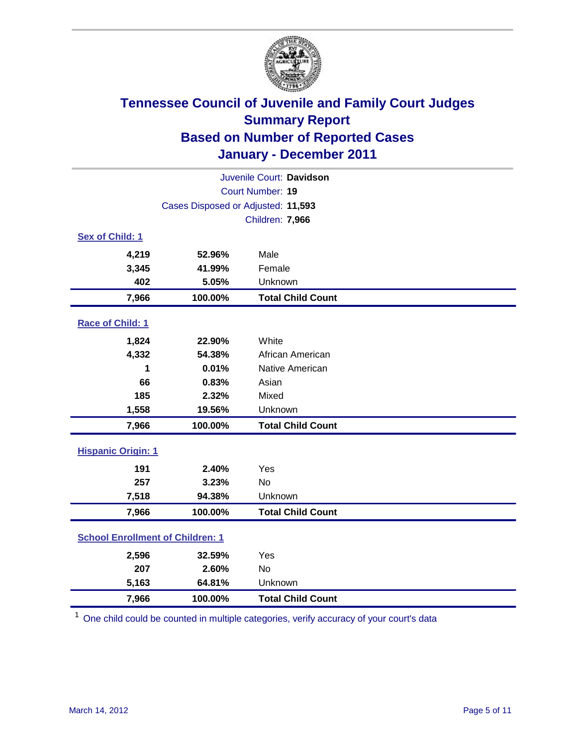

| Juvenile Court: Davidson                |                                    |                          |  |  |
|-----------------------------------------|------------------------------------|--------------------------|--|--|
|                                         | Court Number: 19                   |                          |  |  |
|                                         | Cases Disposed or Adjusted: 11,593 |                          |  |  |
|                                         |                                    | Children: 7,966          |  |  |
| Sex of Child: 1                         |                                    |                          |  |  |
| 4,219                                   | 52.96%                             | Male                     |  |  |
| 3,345                                   | 41.99%                             | Female                   |  |  |
| 402                                     | 5.05%                              | Unknown                  |  |  |
| 7,966                                   | 100.00%                            | <b>Total Child Count</b> |  |  |
| Race of Child: 1                        |                                    |                          |  |  |
| 1,824                                   | 22.90%                             | White                    |  |  |
| 4,332                                   | 54.38%                             | African American         |  |  |
| 1                                       | 0.01%                              | Native American          |  |  |
| 66                                      | 0.83%                              | Asian                    |  |  |
| 185                                     | 2.32%                              | Mixed                    |  |  |
| 1,558                                   | 19.56%                             | Unknown                  |  |  |
| 7,966                                   | 100.00%                            | <b>Total Child Count</b> |  |  |
| <b>Hispanic Origin: 1</b>               |                                    |                          |  |  |
| 191                                     | 2.40%                              | Yes                      |  |  |
| 257                                     | 3.23%                              | <b>No</b>                |  |  |
| 7,518                                   | 94.38%                             | Unknown                  |  |  |
| 7,966                                   | 100.00%                            | <b>Total Child Count</b> |  |  |
| <b>School Enrollment of Children: 1</b> |                                    |                          |  |  |
| 2,596                                   | 32.59%                             | Yes                      |  |  |
| 207                                     | 2.60%                              | <b>No</b>                |  |  |
| 5,163                                   | 64.81%                             | Unknown                  |  |  |
| 7,966                                   | 100.00%                            | <b>Total Child Count</b> |  |  |

<sup>1</sup> One child could be counted in multiple categories, verify accuracy of your court's data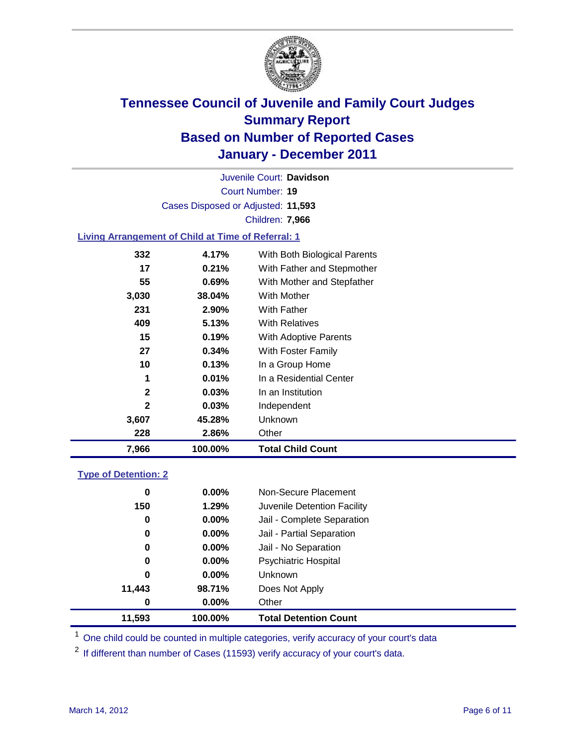

Court Number: **19** Juvenile Court: **Davidson** Cases Disposed or Adjusted: **11,593** Children: **7,966**

### **Living Arrangement of Child at Time of Referral: 1**

| 7,966        | 100.00%  | Total Child Count            |
|--------------|----------|------------------------------|
| 228          | 2.86%    | Other                        |
| 3,607        | 45.28%   | Unknown                      |
| $\mathbf{2}$ | $0.03\%$ | Independent                  |
| $\mathbf{2}$ | $0.03\%$ | In an Institution            |
| 1            | 0.01%    | In a Residential Center      |
| 10           | 0.13%    | In a Group Home              |
| 27           | 0.34%    | With Foster Family           |
| 15           | 0.19%    | <b>With Adoptive Parents</b> |
| 409          | 5.13%    | <b>With Relatives</b>        |
| 231          | 2.90%    | With Father                  |
| 3,030        | 38.04%   | With Mother                  |
| 55           | 0.69%    | With Mother and Stepfather   |
| 17           | 0.21%    | With Father and Stepmother   |
| 332          | 4.17%    | With Both Biological Parents |
|              |          |                              |

### **Type of Detention: 2**

| 11,593 | 100.00%  | <b>Total Detention Count</b> |
|--------|----------|------------------------------|
| 0      | $0.00\%$ | Other                        |
| 11,443 | 98.71%   | Does Not Apply               |
| 0      | $0.00\%$ | <b>Unknown</b>               |
| 0      | 0.00%    | <b>Psychiatric Hospital</b>  |
| 0      | 0.00%    | Jail - No Separation         |
| 0      | $0.00\%$ | Jail - Partial Separation    |
| 0      | 0.00%    | Jail - Complete Separation   |
| 150    | 1.29%    | Juvenile Detention Facility  |
| 0      | $0.00\%$ | Non-Secure Placement         |
|        |          |                              |

<sup>1</sup> One child could be counted in multiple categories, verify accuracy of your court's data

<sup>2</sup> If different than number of Cases (11593) verify accuracy of your court's data.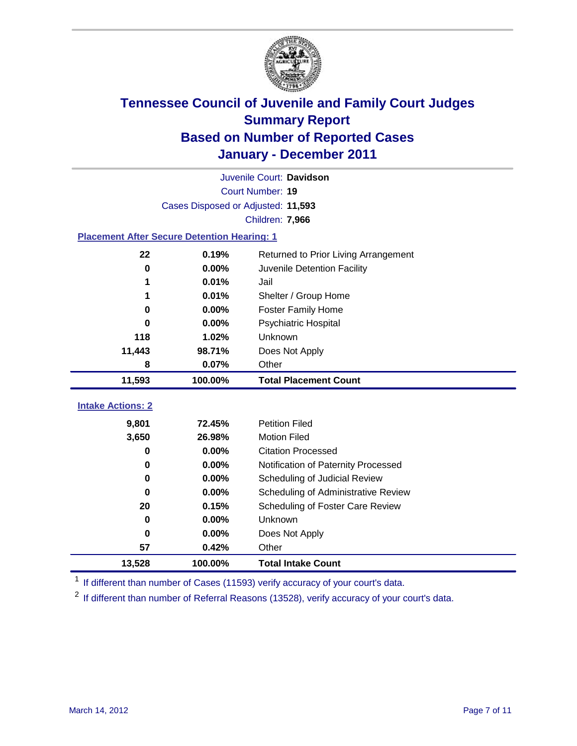

| Juvenile Court: Davidson                           |                                    |                                      |  |  |  |  |
|----------------------------------------------------|------------------------------------|--------------------------------------|--|--|--|--|
|                                                    | Court Number: 19                   |                                      |  |  |  |  |
|                                                    | Cases Disposed or Adjusted: 11,593 |                                      |  |  |  |  |
|                                                    | Children: 7,966                    |                                      |  |  |  |  |
| <b>Placement After Secure Detention Hearing: 1</b> |                                    |                                      |  |  |  |  |
| 22                                                 | 0.19%                              | Returned to Prior Living Arrangement |  |  |  |  |
| $\bf{0}$                                           | 0.00%                              | Juvenile Detention Facility          |  |  |  |  |
| 1                                                  | 0.01%                              | Jail                                 |  |  |  |  |
| 1                                                  | 0.01%                              | Shelter / Group Home                 |  |  |  |  |
| 0                                                  | 0.00%                              | <b>Foster Family Home</b>            |  |  |  |  |
| 0                                                  | 0.00%                              | Psychiatric Hospital                 |  |  |  |  |
| 118                                                | 1.02%                              | Unknown                              |  |  |  |  |
| 11,443                                             | 98.71%                             | Does Not Apply                       |  |  |  |  |
| 8                                                  | 0.07%                              | Other                                |  |  |  |  |
| 11,593                                             | 100.00%                            | <b>Total Placement Count</b>         |  |  |  |  |
|                                                    |                                    |                                      |  |  |  |  |
| <b>Intake Actions: 2</b>                           |                                    |                                      |  |  |  |  |
| 9,801                                              | 72.45%                             | <b>Petition Filed</b>                |  |  |  |  |
| 3,650                                              | 26.98%                             | <b>Motion Filed</b>                  |  |  |  |  |
| 0                                                  | 0.00%                              | <b>Citation Processed</b>            |  |  |  |  |
| 0                                                  | 0.00%                              | Notification of Paternity Processed  |  |  |  |  |
| $\mathbf 0$                                        | 0.00%                              | Scheduling of Judicial Review        |  |  |  |  |
| 0                                                  | 0.00%                              | Scheduling of Administrative Review  |  |  |  |  |
| 20                                                 | 0.15%                              | Scheduling of Foster Care Review     |  |  |  |  |
| $\bf{0}$                                           | 0.00%                              | Unknown                              |  |  |  |  |
| $\bf{0}$                                           | 0.00%                              | Does Not Apply                       |  |  |  |  |
| 57                                                 | 0.42%                              | Other                                |  |  |  |  |
| 13,528                                             | 100.00%                            | <b>Total Intake Count</b>            |  |  |  |  |

<sup>1</sup> If different than number of Cases (11593) verify accuracy of your court's data.

<sup>2</sup> If different than number of Referral Reasons (13528), verify accuracy of your court's data.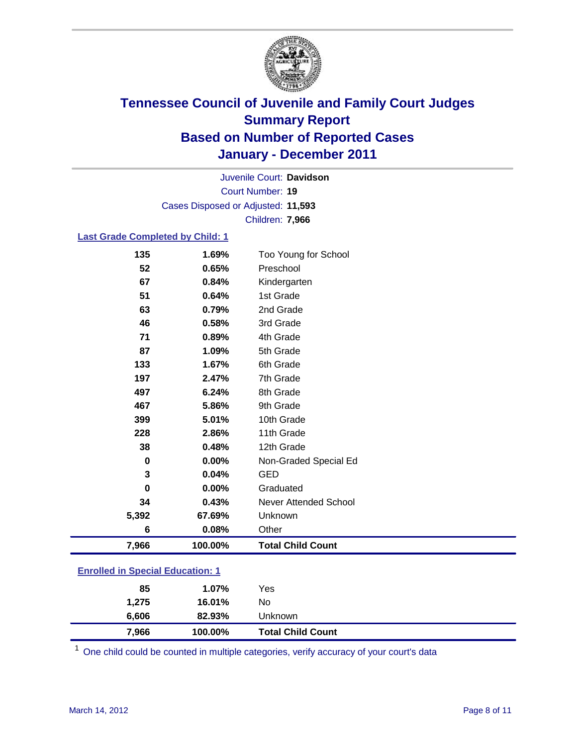

Court Number: **19** Juvenile Court: **Davidson** Cases Disposed or Adjusted: **11,593** Children: **7,966**

### **Last Grade Completed by Child: 1**

| 135                                     | 1.69%   | Too Young for School     |
|-----------------------------------------|---------|--------------------------|
| 52                                      | 0.65%   | Preschool                |
| 67                                      | 0.84%   | Kindergarten             |
| 51                                      | 0.64%   | 1st Grade                |
| 63                                      | 0.79%   | 2nd Grade                |
| 46                                      | 0.58%   | 3rd Grade                |
| 71                                      | 0.89%   | 4th Grade                |
| 87                                      | 1.09%   | 5th Grade                |
| 133                                     | 1.67%   | 6th Grade                |
| 197                                     | 2.47%   | 7th Grade                |
| 497                                     | 6.24%   | 8th Grade                |
| 467                                     | 5.86%   | 9th Grade                |
| 399                                     | 5.01%   | 10th Grade               |
| 228                                     | 2.86%   | 11th Grade               |
| 38                                      | 0.48%   | 12th Grade               |
| 0                                       | 0.00%   | Non-Graded Special Ed    |
| 3                                       | 0.04%   | <b>GED</b>               |
| $\bf{0}$                                | 0.00%   | Graduated                |
| 34                                      | 0.43%   | Never Attended School    |
| 5,392                                   | 67.69%  | Unknown                  |
| 6                                       | 0.08%   | Other                    |
| 7,966                                   | 100.00% | <b>Total Child Count</b> |
| <b>Enrolled in Special Education: 1</b> |         |                          |

| 7,966                                 | 100.00% | <b>Total Child Count</b> |  |  |
|---------------------------------------|---------|--------------------------|--|--|
| 6,606                                 | 82.93%  | Unknown                  |  |  |
| 1,275                                 | 16.01%  | No                       |  |  |
| 85                                    | 1.07%   | Yes                      |  |  |
| $\mathbf{r}$ only a  opposite example |         |                          |  |  |

 $1$  One child could be counted in multiple categories, verify accuracy of your court's data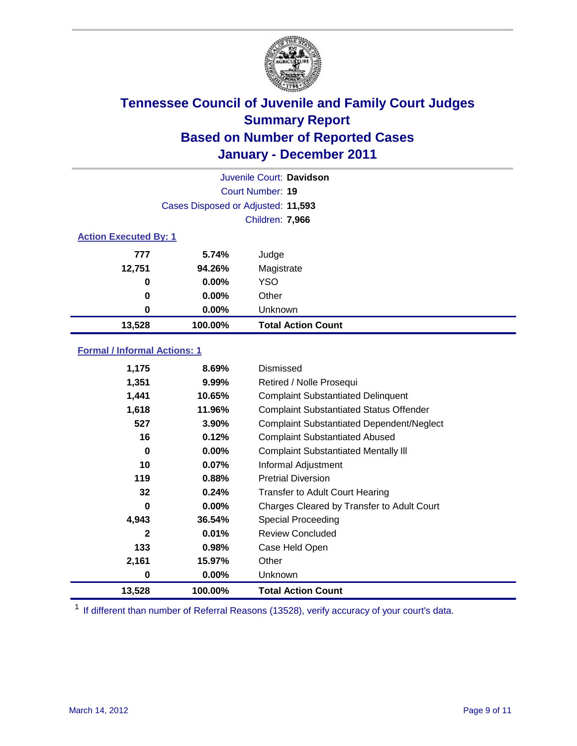

|                              | Juvenile Court: Davidson           |                           |  |  |
|------------------------------|------------------------------------|---------------------------|--|--|
|                              | Court Number: 19                   |                           |  |  |
|                              | Cases Disposed or Adjusted: 11,593 |                           |  |  |
|                              | Children: 7,966                    |                           |  |  |
| <b>Action Executed By: 1</b> |                                    |                           |  |  |
| 777                          | 5.74%                              | Judge                     |  |  |
| 12,751                       | 94.26%                             | Magistrate                |  |  |
| 0                            | $0.00\%$                           | <b>YSO</b>                |  |  |
| $\bf{0}$                     | $0.00\%$                           | Other                     |  |  |
| 0                            | 0.00%                              | Unknown                   |  |  |
| 13,528                       | 100.00%                            | <b>Total Action Count</b> |  |  |

### **Formal / Informal Actions: 1**

| 1,175        | 8.69%    | Dismissed                                        |
|--------------|----------|--------------------------------------------------|
| 1,351        | 9.99%    | Retired / Nolle Prosequi                         |
| 1,441        | 10.65%   | <b>Complaint Substantiated Delinquent</b>        |
| 1,618        | 11.96%   | <b>Complaint Substantiated Status Offender</b>   |
| 527          | 3.90%    | <b>Complaint Substantiated Dependent/Neglect</b> |
| 16           | 0.12%    | <b>Complaint Substantiated Abused</b>            |
| 0            | $0.00\%$ | <b>Complaint Substantiated Mentally III</b>      |
| 10           | 0.07%    | Informal Adjustment                              |
| 119          | 0.88%    | <b>Pretrial Diversion</b>                        |
| 32           | 0.24%    | <b>Transfer to Adult Court Hearing</b>           |
| 0            | $0.00\%$ | Charges Cleared by Transfer to Adult Court       |
| 4,943        | 36.54%   | <b>Special Proceeding</b>                        |
| $\mathbf{2}$ | 0.01%    | <b>Review Concluded</b>                          |
| 133          | 0.98%    | Case Held Open                                   |
| 2,161        | 15.97%   | Other                                            |
| 0            | $0.00\%$ | <b>Unknown</b>                                   |
| 13,528       | 100.00%  | <b>Total Action Count</b>                        |

<sup>1</sup> If different than number of Referral Reasons (13528), verify accuracy of your court's data.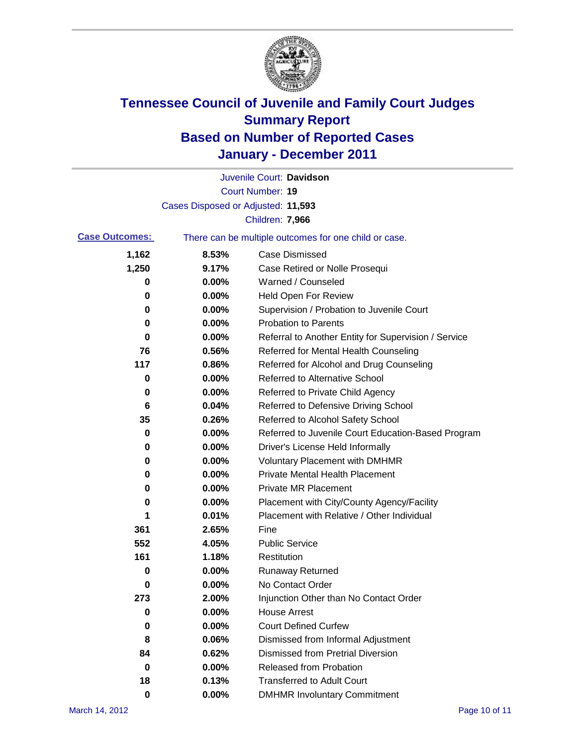

|                       |                                    | Juvenile Court: Davidson                              |
|-----------------------|------------------------------------|-------------------------------------------------------|
|                       |                                    | <b>Court Number: 19</b>                               |
|                       | Cases Disposed or Adjusted: 11,593 |                                                       |
|                       |                                    | Children: 7,966                                       |
| <b>Case Outcomes:</b> |                                    | There can be multiple outcomes for one child or case. |
| 1,162                 | 8.53%                              | <b>Case Dismissed</b>                                 |
| 1,250                 | 9.17%                              | Case Retired or Nolle Prosequi                        |
| 0                     | 0.00%                              | Warned / Counseled                                    |
| 0                     | 0.00%                              | <b>Held Open For Review</b>                           |
| 0                     | 0.00%                              | Supervision / Probation to Juvenile Court             |
| 0                     | 0.00%                              | <b>Probation to Parents</b>                           |
| 0                     | 0.00%                              | Referral to Another Entity for Supervision / Service  |
| 76                    | 0.56%                              | Referred for Mental Health Counseling                 |
| 117                   | 0.86%                              | Referred for Alcohol and Drug Counseling              |
| 0                     | 0.00%                              | <b>Referred to Alternative School</b>                 |
| 0                     | 0.00%                              | Referred to Private Child Agency                      |
| 6                     | 0.04%                              | Referred to Defensive Driving School                  |
| 35                    | 0.26%                              | Referred to Alcohol Safety School                     |
| 0                     | 0.00%                              | Referred to Juvenile Court Education-Based Program    |
| 0                     | 0.00%                              | Driver's License Held Informally                      |
| 0                     | 0.00%                              | <b>Voluntary Placement with DMHMR</b>                 |
| 0                     | 0.00%                              | <b>Private Mental Health Placement</b>                |
| 0                     | 0.00%                              | <b>Private MR Placement</b>                           |
| 0                     | 0.00%                              | Placement with City/County Agency/Facility            |
| 1                     | 0.01%                              | Placement with Relative / Other Individual            |
| 361                   | 2.65%                              | Fine                                                  |
| 552                   | 4.05%                              | <b>Public Service</b>                                 |
| 161                   | 1.18%                              | Restitution                                           |
| 0                     | 0.00%                              | <b>Runaway Returned</b>                               |
| 0                     | 0.00%                              | No Contact Order                                      |
| 273                   | 2.00%                              | Injunction Other than No Contact Order                |
| 0                     | 0.00%                              | <b>House Arrest</b>                                   |
| 0                     | 0.00%                              | <b>Court Defined Curfew</b>                           |
| 8                     | 0.06%                              | Dismissed from Informal Adjustment                    |
| 84                    | 0.62%                              | <b>Dismissed from Pretrial Diversion</b>              |
| 0                     | 0.00%                              | Released from Probation                               |
| 18                    | 0.13%                              | <b>Transferred to Adult Court</b>                     |
| $\mathbf 0$           | $0.00\%$                           | <b>DMHMR Involuntary Commitment</b>                   |